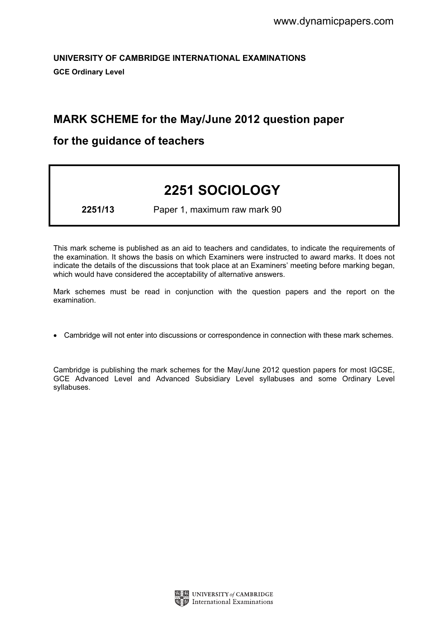UNIVERSITY OF CAMBRIDGE INTERNATIONAL EXAMINATIONS GCE Ordinary Level

# MARK SCHEME for the May/June 2012 question paper

## for the guidance of teachers

# 2251 SOCIOLOGY

2251/13 Paper 1, maximum raw mark 90

This mark scheme is published as an aid to teachers and candidates, to indicate the requirements of the examination. It shows the basis on which Examiners were instructed to award marks. It does not indicate the details of the discussions that took place at an Examiners' meeting before marking began, which would have considered the acceptability of alternative answers.

Mark schemes must be read in conjunction with the question papers and the report on the examination.

*•* Cambridge will not enter into discussions or correspondence in connection with these mark schemes.

Cambridge is publishing the mark schemes for the May/June 2012 question papers for most IGCSE, GCE Advanced Level and Advanced Subsidiary Level syllabuses and some Ordinary Level syllabuses.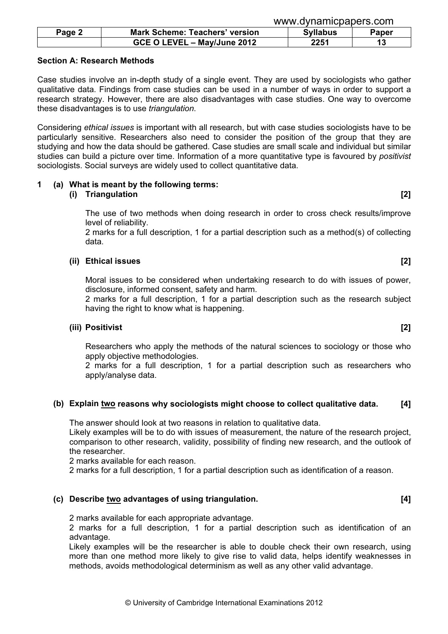|        |                                       | www.ayilalillopapolo.com |       |
|--------|---------------------------------------|--------------------------|-------|
| Page 2 | <b>Mark Scheme: Teachers' version</b> | <b>Syllabus</b>          | Paper |
|        | GCE O LEVEL - May/June 2012           | 2251                     |       |

www.dynamicpapers.com

#### Section A: Research Methods

Case studies involve an in-depth study of a single event. They are used by sociologists who gather qualitative data. Findings from case studies can be used in a number of ways in order to support a research strategy. However, there are also disadvantages with case studies. One way to overcome these disadvantages is to use *triangulation*.

Considering ethical issues is important with all research, but with case studies sociologists have to be particularly sensitive. Researchers also need to consider the position of the group that they are studying and how the data should be gathered. Case studies are small scale and individual but similar studies can build a picture over time. Information of a more quantitative type is favoured by *positivist* sociologists. Social surveys are widely used to collect quantitative data.

### 1 (a) What is meant by the following terms:

#### (i) Triangulation [2]

The use of two methods when doing research in order to cross check results/improve level of reliability.

2 marks for a full description, 1 for a partial description such as a method(s) of collecting data.

#### (ii) Ethical issues [2]

Moral issues to be considered when undertaking research to do with issues of power, disclosure, informed consent, safety and harm.

2 marks for a full description, 1 for a partial description such as the research subject having the right to know what is happening.

#### (iii) Positivist [2]

Researchers who apply the methods of the natural sciences to sociology or those who apply objective methodologies.

2 marks for a full description, 1 for a partial description such as researchers who apply/analyse data.

#### (b) Explain two reasons why sociologists might choose to collect qualitative data. [4]

The answer should look at two reasons in relation to qualitative data.

Likely examples will be to do with issues of measurement, the nature of the research project, comparison to other research, validity, possibility of finding new research, and the outlook of the researcher.

2 marks available for each reason.

2 marks for a full description, 1 for a partial description such as identification of a reason.

#### (c) Describe two advantages of using triangulation. [4]

2 marks available for each appropriate advantage.

2 marks for a full description, 1 for a partial description such as identification of an advantage.

Likely examples will be the researcher is able to double check their own research, using more than one method more likely to give rise to valid data, helps identify weaknesses in methods, avoids methodological determinism as well as any other valid advantage.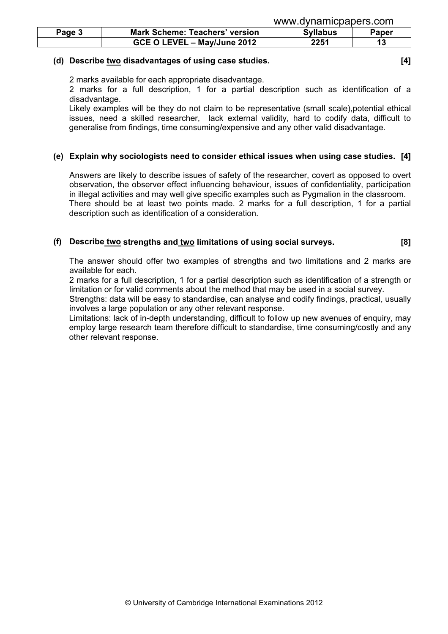| Page 3 | <b>Mark Scheme: Teachers' version</b> | <b>Syllabus</b> | Paper |
|--------|---------------------------------------|-----------------|-------|
|        | GCE O LEVEL - May/June 2012           | 2251            |       |

#### (d) Describe two disadvantages of using case studies. [4]

www.dynamicpapers.com

2 marks available for each appropriate disadvantage.

2 marks for a full description, 1 for a partial description such as identification of a disadvantage.

Likely examples will be they do not claim to be representative (small scale),potential ethical issues, need a skilled researcher, lack external validity, hard to codify data, difficult to generalise from findings, time consuming/expensive and any other valid disadvantage.

### (e) Explain why sociologists need to consider ethical issues when using case studies. [4]

Answers are likely to describe issues of safety of the researcher, covert as opposed to overt observation, the observer effect influencing behaviour, issues of confidentiality, participation in illegal activities and may well give specific examples such as Pygmalion in the classroom. There should be at least two points made. 2 marks for a full description, 1 for a partial description such as identification of a consideration.

### (f) Describe two strengths and two limitations of using social surveys. [8]

The answer should offer two examples of strengths and two limitations and 2 marks are available for each.

2 marks for a full description, 1 for a partial description such as identification of a strength or limitation or for valid comments about the method that may be used in a social survey.

Strengths: data will be easy to standardise, can analyse and codify findings, practical, usually involves a large population or any other relevant response.

Limitations: lack of in-depth understanding, difficult to follow up new avenues of enquiry, may employ large research team therefore difficult to standardise, time consuming/costly and any other relevant response.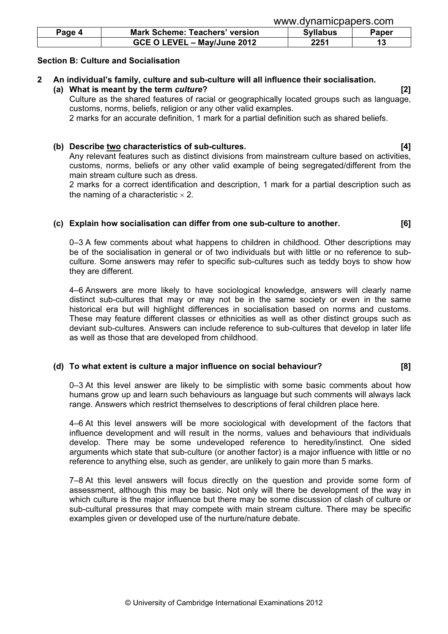| Page 4 | <b>Mark Scheme: Teachers' version</b> | <b>Syllabus</b> | Paper |
|--------|---------------------------------------|-----------------|-------|
|        | GCE O LEVEL - May/June 2012           | 2251            |       |

#### Section B: Culture and Socialisation

2 An individual's family, culture and sub-culture will all influence their socialisation.

 (a) What is meant by the term culture? [2] Culture as the shared features of racial or geographically located groups such as language, customs, norms, beliefs, religion or any other valid examples.

2 marks for an accurate definition, 1 mark for a partial definition such as shared beliefs.

#### (b) Describe two characteristics of sub-cultures. [4]

Any relevant features such as distinct divisions from mainstream culture based on activities, customs, norms, beliefs or any other valid example of being segregated/different from the main stream culture such as dress.

2 marks for a correct identification and description, 1 mark for a partial description such as the naming of a characteristic  $\times$  2.

#### (c) Explain how socialisation can differ from one sub-culture to another. [6]

0–3 A few comments about what happens to children in childhood. Other descriptions may be of the socialisation in general or of two individuals but with little or no reference to subculture. Some answers may refer to specific sub-cultures such as teddy boys to show how they are different.

4–6 Answers are more likely to have sociological knowledge, answers will clearly name distinct sub-cultures that may or may not be in the same society or even in the same historical era but will highlight differences in socialisation based on norms and customs. These may feature different classes or ethnicities as well as other distinct groups such as deviant sub-cultures. Answers can include reference to sub-cultures that develop in later life as well as those that are developed from childhood.

#### (d) To what extent is culture a major influence on social behaviour? [8]

0–3 At this level answer are likely to be simplistic with some basic comments about how humans grow up and learn such behaviours as language but such comments will always lack range. Answers which restrict themselves to descriptions of feral children place here.

4–6 At this level answers will be more sociological with development of the factors that influence development and will result in the norms, values and behaviours that individuals develop. There may be some undeveloped reference to heredity/instinct. One sided arguments which state that sub-culture (or another factor) is a major influence with little or no reference to anything else, such as gender, are unlikely to gain more than 5 marks.

7–8 At this level answers will focus directly on the question and provide some form of assessment, although this may be basic. Not only will there be development of the way in which culture is the major influence but there may be some discussion of clash of culture or sub-cultural pressures that may compete with main stream culture. There may be specific examples given or developed use of the nurture/nature debate.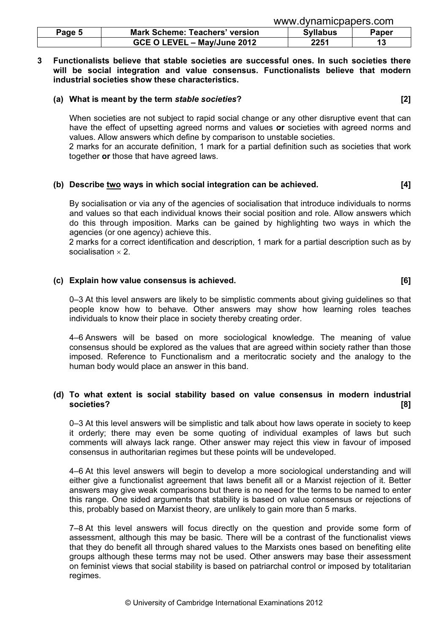| Page 5 | <b>Mark Scheme: Teachers' version</b> | <b>Syllabus</b> | Paper |
|--------|---------------------------------------|-----------------|-------|
|        | GCE O LEVEL - May/June 2012           | 2251            |       |

#### 3 Functionalists believe that stable societies are successful ones. In such societies there will be social integration and value consensus. Functionalists believe that modern industrial societies show these characteristics.

#### (a) What is meant by the term *stable societies*? [2] [2]

When societies are not subject to rapid social change or any other disruptive event that can have the effect of upsetting agreed norms and values or societies with agreed norms and values. Allow answers which define by comparison to unstable societies.

2 marks for an accurate definition, 1 mark for a partial definition such as societies that work together or those that have agreed laws.

#### (b) Describe two ways in which social integration can be achieved. [4]

By socialisation or via any of the agencies of socialisation that introduce individuals to norms and values so that each individual knows their social position and role. Allow answers which do this through imposition. Marks can be gained by highlighting two ways in which the agencies (or one agency) achieve this.

2 marks for a correct identification and description, 1 mark for a partial description such as by socialisation  $\times$  2.

#### (c) Explain how value consensus is achieved. [6]

0–3 At this level answers are likely to be simplistic comments about giving guidelines so that people know how to behave. Other answers may show how learning roles teaches individuals to know their place in society thereby creating order.

4–6 Answers will be based on more sociological knowledge. The meaning of value consensus should be explored as the values that are agreed within society rather than those imposed. Reference to Functionalism and a meritocratic society and the analogy to the human body would place an answer in this band.

#### (d) To what extent is social stability based on value consensus in modern industrial societies? [8]

0–3 At this level answers will be simplistic and talk about how laws operate in society to keep it orderly; there may even be some quoting of individual examples of laws but such comments will always lack range. Other answer may reject this view in favour of imposed consensus in authoritarian regimes but these points will be undeveloped.

4–6 At this level answers will begin to develop a more sociological understanding and will either give a functionalist agreement that laws benefit all or a Marxist rejection of it. Better answers may give weak comparisons but there is no need for the terms to be named to enter this range. One sided arguments that stability is based on value consensus or rejections of this, probably based on Marxist theory, are unlikely to gain more than 5 marks.

7–8 At this level answers will focus directly on the question and provide some form of assessment, although this may be basic. There will be a contrast of the functionalist views that they do benefit all through shared values to the Marxists ones based on benefiting elite groups although these terms may not be used. Other answers may base their assessment on feminist views that social stability is based on patriarchal control or imposed by totalitarian regimes.

| www.dynamicpapers.com |  |  |
|-----------------------|--|--|
|                       |  |  |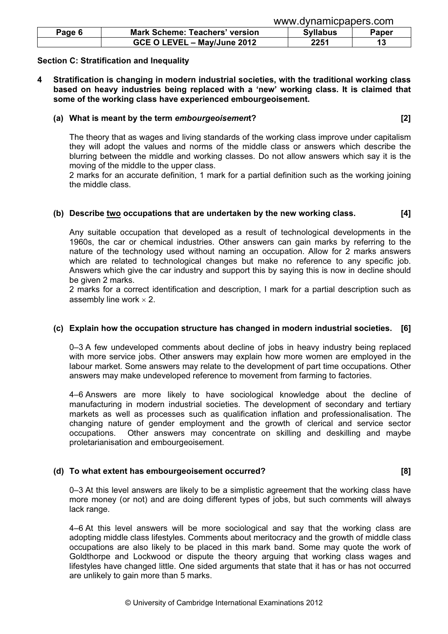|        |                                       | <u>www.uyilalillopapolo.com</u> |       |
|--------|---------------------------------------|---------------------------------|-------|
| Page 6 | <b>Mark Scheme: Teachers' version</b> | <b>Syllabus</b>                 | Paper |
|        | GCE O LEVEL - May/June 2012           | 2251                            |       |

www.dynamicpapers.com

#### Section C: Stratification and Inequality

4 Stratification is changing in modern industrial societies, with the traditional working class based on heavy industries being replaced with a 'new' working class. It is claimed that some of the working class have experienced embourgeoisement.

#### (a) What is meant by the term embourgeoisement? [2]

The theory that as wages and living standards of the working class improve under capitalism they will adopt the values and norms of the middle class or answers which describe the blurring between the middle and working classes. Do not allow answers which say it is the moving of the middle to the upper class.

2 marks for an accurate definition, 1 mark for a partial definition such as the working joining the middle class.

#### (b) Describe two occupations that are undertaken by the new working class. [4]

Any suitable occupation that developed as a result of technological developments in the 1960s, the car or chemical industries. Other answers can gain marks by referring to the nature of the technology used without naming an occupation. Allow for 2 marks answers which are related to technological changes but make no reference to any specific job. Answers which give the car industry and support this by saying this is now in decline should be given 2 marks.

2 marks for a correct identification and description, I mark for a partial description such as assembly line work  $\times$  2.

#### (c) Explain how the occupation structure has changed in modern industrial societies. [6]

0–3 A few undeveloped comments about decline of jobs in heavy industry being replaced with more service jobs. Other answers may explain how more women are employed in the labour market. Some answers may relate to the development of part time occupations. Other answers may make undeveloped reference to movement from farming to factories.

4–6 Answers are more likely to have sociological knowledge about the decline of manufacturing in modern industrial societies. The development of secondary and tertiary markets as well as processes such as qualification inflation and professionalisation. The changing nature of gender employment and the growth of clerical and service sector occupations. Other answers may concentrate on skilling and deskilling and maybe proletarianisation and embourgeoisement.

#### (d) To what extent has embourgeoisement occurred? [8]

0–3 At this level answers are likely to be a simplistic agreement that the working class have more money (or not) and are doing different types of jobs, but such comments will always lack range.

4–6 At this level answers will be more sociological and say that the working class are adopting middle class lifestyles. Comments about meritocracy and the growth of middle class occupations are also likely to be placed in this mark band. Some may quote the work of Goldthorpe and Lockwood or dispute the theory arguing that working class wages and lifestyles have changed little. One sided arguments that state that it has or has not occurred are unlikely to gain more than 5 marks.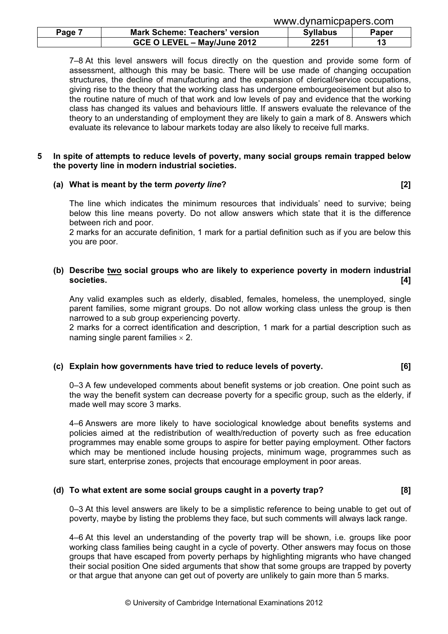|        |                                       | www.uyildililopapois.com |              |
|--------|---------------------------------------|--------------------------|--------------|
| Page 7 | <b>Mark Scheme: Teachers' version</b> | <b>Syllabus</b>          | <b>Paper</b> |
|        | GCE O LEVEL - May/June 2012           | 2251                     |              |

7–8 At this level answers will focus directly on the question and provide some form of assessment, although this may be basic. There will be use made of changing occupation structures, the decline of manufacturing and the expansion of clerical/service occupations, giving rise to the theory that the working class has undergone embourgeoisement but also to the routine nature of much of that work and low levels of pay and evidence that the working class has changed its values and behaviours little. If answers evaluate the relevance of the theory to an understanding of employment they are likely to gain a mark of 8. Answers which evaluate its relevance to labour markets today are also likely to receive full marks.

#### 5 In spite of attempts to reduce levels of poverty, many social groups remain trapped below the poverty line in modern industrial societies.

#### (a) What is meant by the term poverty line? [2]

The line which indicates the minimum resources that individuals' need to survive; being below this line means poverty. Do not allow answers which state that it is the difference between rich and poor.

2 marks for an accurate definition, 1 mark for a partial definition such as if you are below this you are poor.

### (b) Describe two social groups who are likely to experience poverty in modern industrial societies. [4]

Any valid examples such as elderly, disabled, females, homeless, the unemployed, single parent families, some migrant groups. Do not allow working class unless the group is then narrowed to a sub group experiencing poverty.

2 marks for a correct identification and description, 1 mark for a partial description such as naming single parent families  $\times$  2.

#### (c) Explain how governments have tried to reduce levels of poverty. [6]

0–3 A few undeveloped comments about benefit systems or job creation. One point such as the way the benefit system can decrease poverty for a specific group, such as the elderly, if made well may score 3 marks.

4–6 Answers are more likely to have sociological knowledge about benefits systems and policies aimed at the redistribution of wealth/reduction of poverty such as free education programmes may enable some groups to aspire for better paying employment. Other factors which may be mentioned include housing projects, minimum wage, programmes such as sure start, enterprise zones, projects that encourage employment in poor areas.

#### (d) To what extent are some social groups caught in a poverty trap? [8]

0–3 At this level answers are likely to be a simplistic reference to being unable to get out of poverty, maybe by listing the problems they face, but such comments will always lack range.

4–6 At this level an understanding of the poverty trap will be shown, i.e. groups like poor working class families being caught in a cycle of poverty. Other answers may focus on those groups that have escaped from poverty perhaps by highlighting migrants who have changed their social position One sided arguments that show that some groups are trapped by poverty or that argue that anyone can get out of poverty are unlikely to gain more than 5 marks.

www.dynamicpapers.com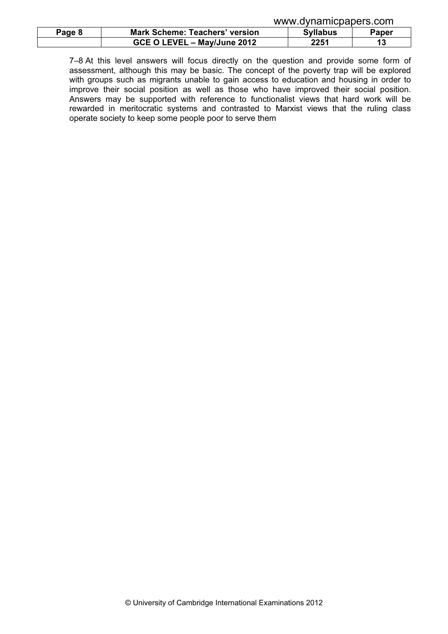|        |                                       | www.gvildililopapols.com |       |
|--------|---------------------------------------|--------------------------|-------|
| Page 8 | <b>Mark Scheme: Teachers' version</b> | <b>Syllabus</b>          | Paper |
|        | GCE O LEVEL - May/June 2012           | 2251                     |       |

7–8 At this level answers will focus directly on the question and provide some form of assessment, although this may be basic. The concept of the poverty trap will be explored with groups such as migrants unable to gain access to education and housing in order to improve their social position as well as those who have improved their social position. Answers may be supported with reference to functionalist views that hard work will be rewarded in meritocratic systems and contrasted to Marxist views that the ruling class operate society to keep some people poor to serve them

www.dynamicpapers.com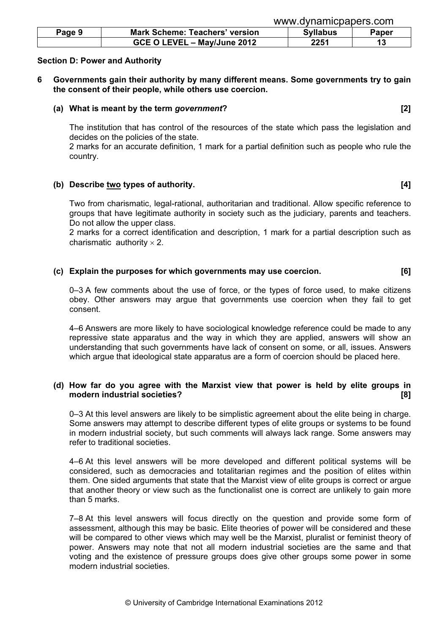|        |                                       | <u>www.ayilahilopapolo.com</u> |       |
|--------|---------------------------------------|--------------------------------|-------|
| Page 9 | <b>Mark Scheme: Teachers' version</b> | <b>Syllabus</b>                | Paper |
|        | GCE O LEVEL - May/June 2012           | 2251                           |       |

www.dynamicpapers.com

#### Section D: Power and Authority

#### 6 Governments gain their authority by many different means. Some governments try to gain the consent of their people, while others use coercion.

#### (a) What is meant by the term government? [2]

The institution that has control of the resources of the state which pass the legislation and decides on the policies of the state.

2 marks for an accurate definition, 1 mark for a partial definition such as people who rule the country.

#### (b) Describe two types of authority. (a) in the set of the set of authority.

Two from charismatic, legal-rational, authoritarian and traditional. Allow specific reference to groups that have legitimate authority in society such as the judiciary, parents and teachers. Do not allow the upper class.

2 marks for a correct identification and description, 1 mark for a partial description such as charismatic authority  $\times$  2.

#### (c) Explain the purposes for which governments may use coercion. [6]

0–3 A few comments about the use of force, or the types of force used, to make citizens obey. Other answers may argue that governments use coercion when they fail to get consent.

4–6 Answers are more likely to have sociological knowledge reference could be made to any repressive state apparatus and the way in which they are applied, answers will show an understanding that such governments have lack of consent on some, or all, issues. Answers which argue that ideological state apparatus are a form of coercion should be placed here.

#### (d) How far do you agree with the Marxist view that power is held by elite groups in modern industrial societies? [8]

0–3 At this level answers are likely to be simplistic agreement about the elite being in charge. Some answers may attempt to describe different types of elite groups or systems to be found in modern industrial society, but such comments will always lack range. Some answers may refer to traditional societies.

4–6 At this level answers will be more developed and different political systems will be considered, such as democracies and totalitarian regimes and the position of elites within them. One sided arguments that state that the Marxist view of elite groups is correct or argue that another theory or view such as the functionalist one is correct are unlikely to gain more than 5 marks.

7–8 At this level answers will focus directly on the question and provide some form of assessment, although this may be basic. Elite theories of power will be considered and these will be compared to other views which may well be the Marxist, pluralist or feminist theory of power. Answers may note that not all modern industrial societies are the same and that voting and the existence of pressure groups does give other groups some power in some modern industrial societies.